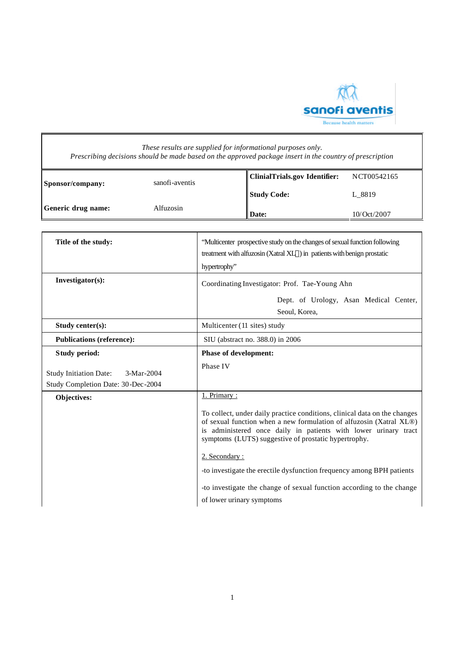

|                                                                                                      | These results are supplied for informational purposes only.<br>Prescribing decisions should be made based on the approved package insert in the country of prescription                                                                                                                                                                                                                                                                                                                    |
|------------------------------------------------------------------------------------------------------|--------------------------------------------------------------------------------------------------------------------------------------------------------------------------------------------------------------------------------------------------------------------------------------------------------------------------------------------------------------------------------------------------------------------------------------------------------------------------------------------|
| sanofi-aventis<br>Sponsor/company:                                                                   | <b>ClinialTrials.gov Identifier:</b><br>NCT00542165<br><b>Study Code:</b><br>L_8819                                                                                                                                                                                                                                                                                                                                                                                                        |
| Alfuzosin<br>Generic drug name:                                                                      | Date:<br>10/Oct/2007                                                                                                                                                                                                                                                                                                                                                                                                                                                                       |
| Title of the study:                                                                                  | "Multicenter prospective study on the changes of sexual function following<br>treatment with alfuzosin (Xatral XL®) in patients with benign prostatic<br>hypertrophy"                                                                                                                                                                                                                                                                                                                      |
| Investigator(s):                                                                                     | Coordinating Investigator: Prof. Tae-Young Ahn<br>Dept. of Urology, Asan Medical Center,<br>Seoul, Korea,                                                                                                                                                                                                                                                                                                                                                                                  |
| Study center(s):                                                                                     | Multicenter (11 sites) study                                                                                                                                                                                                                                                                                                                                                                                                                                                               |
| <b>Publications (reference):</b>                                                                     | SIU (abstract no. 388.0) in 2006                                                                                                                                                                                                                                                                                                                                                                                                                                                           |
| Study period:<br><b>Study Initiation Date:</b><br>$3-Mar-2004$<br>Study Completion Date: 30-Dec-2004 | <b>Phase of development:</b><br>Phase IV                                                                                                                                                                                                                                                                                                                                                                                                                                                   |
| Objectives:                                                                                          | 1. Primary:<br>To collect, under daily practice conditions, clinical data on the changes<br>of sexual function when a new formulation of alfuzosin (Xatral XL®)<br>is administered once daily in patients with lower urinary tract<br>symptoms (LUTS) suggestive of prostatic hypertrophy.<br>2. Secondary:<br>-to investigate the erectile dysfunction frequency among BPH patients<br>-to investigate the change of sexual function according to the change<br>of lower urinary symptoms |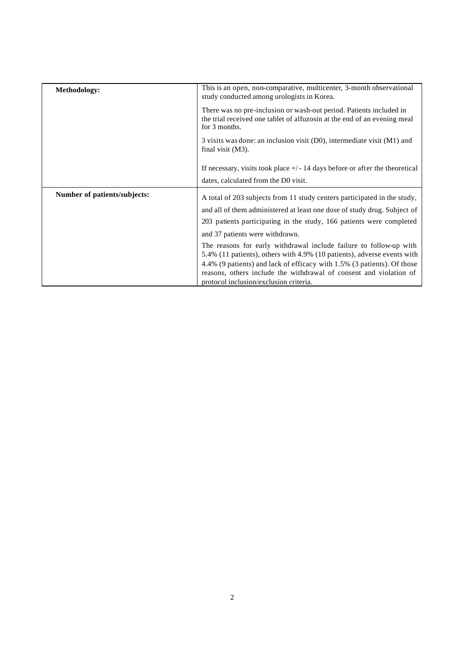| Methodology:                 | This is an open, non-comparative, multicenter, 3-month observational<br>study conducted among urologists in Korea.                                                                      |
|------------------------------|-----------------------------------------------------------------------------------------------------------------------------------------------------------------------------------------|
|                              | There was no pre-inclusion or wash-out period. Patients included in<br>the trial received one tablet of alfuzosin at the end of an evening meal<br>for 3 months.                        |
|                              | 3 visits was done: an inclusion visit (D0), intermediate visit (M1) and<br>final visit $(M3)$ .                                                                                         |
|                              | If necessary, visits took place $+\prime$ - 14 days before or after the theoretical                                                                                                     |
|                              | dates, calculated from the D0 visit.                                                                                                                                                    |
| Number of patients/subjects: | A total of 203 subjects from 11 study centers participated in the study,                                                                                                                |
|                              | and all of them administered at least one dose of study drug. Subject of                                                                                                                |
|                              | 203 patients participating in the study, 166 patients were completed                                                                                                                    |
|                              | and 37 patients were withdrawn.                                                                                                                                                         |
|                              | The reasons for early withdrawal include failure to follow-up with<br>5.4% (11 patients), others with 4.9% (10 patients), adverse events with                                           |
|                              | 4.4% (9 patients) and lack of efficacy with 1.5% (3 patients). Of those<br>reasons, others include the withdrawal of consent and violation of<br>protocol inclusion/exclusion criteria. |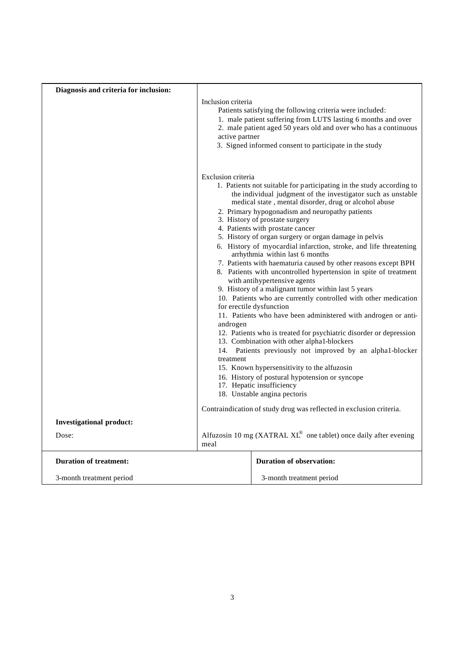| Diagnosis and criteria for inclusion: |                                             |                                                                                                                                                                                                                                                                                                                                                                                                                                                                                                                                                                                                                                                                                                                                                                                                                                                                                                                                                                                                                                                                                                                                                                                                                                      |
|---------------------------------------|---------------------------------------------|--------------------------------------------------------------------------------------------------------------------------------------------------------------------------------------------------------------------------------------------------------------------------------------------------------------------------------------------------------------------------------------------------------------------------------------------------------------------------------------------------------------------------------------------------------------------------------------------------------------------------------------------------------------------------------------------------------------------------------------------------------------------------------------------------------------------------------------------------------------------------------------------------------------------------------------------------------------------------------------------------------------------------------------------------------------------------------------------------------------------------------------------------------------------------------------------------------------------------------------|
|                                       | Inclusion criteria<br>active partner        | Patients satisfying the following criteria were included:<br>1. male patient suffering from LUTS lasting 6 months and over<br>2. male patient aged 50 years old and over who has a continuous<br>3. Signed informed consent to participate in the study                                                                                                                                                                                                                                                                                                                                                                                                                                                                                                                                                                                                                                                                                                                                                                                                                                                                                                                                                                              |
|                                       | Exclusion criteria<br>androgen<br>treatment | 1. Patients not suitable for participating in the study according to<br>the individual judgment of the investigator such as unstable<br>medical state, mental disorder, drug or alcohol abuse<br>2. Primary hypogonadism and neuropathy patients<br>3. History of prostate surgery<br>4. Patients with prostate cancer<br>5. History of organ surgery or organ damage in pelvis<br>6. History of myocardial infarction, stroke, and life threatening<br>arrhythmia within last 6 months<br>7. Patients with haematuria caused by other reasons except BPH<br>8. Patients with uncontrolled hypertension in spite of treatment<br>with antihypertensive agents<br>9. History of a malignant tumor within last 5 years<br>10. Patients who are currently controlled with other medication<br>for erectile dysfunction<br>11. Patients who have been administered with androgen or anti-<br>12. Patients who is treated for psychiatric disorder or depression<br>13. Combination with other alpha1-blockers<br>14. Patients previously not improved by an alpha1-blocker<br>15. Known hypersensitivity to the alfuzosin<br>16. History of postural hypotension or syncope<br>17. Hepatic insufficiency<br>18. Unstable angina pectoris |
|                                       |                                             | Contraindication of study drug was reflected in exclusion criteria.                                                                                                                                                                                                                                                                                                                                                                                                                                                                                                                                                                                                                                                                                                                                                                                                                                                                                                                                                                                                                                                                                                                                                                  |
| <b>Investigational product:</b>       |                                             |                                                                                                                                                                                                                                                                                                                                                                                                                                                                                                                                                                                                                                                                                                                                                                                                                                                                                                                                                                                                                                                                                                                                                                                                                                      |
| Dose:                                 | meal                                        | Alfuzosin 10 mg (XATRAL XL® one tablet) once daily after evening                                                                                                                                                                                                                                                                                                                                                                                                                                                                                                                                                                                                                                                                                                                                                                                                                                                                                                                                                                                                                                                                                                                                                                     |
| <b>Duration of treatment:</b>         |                                             | <b>Duration of observation:</b>                                                                                                                                                                                                                                                                                                                                                                                                                                                                                                                                                                                                                                                                                                                                                                                                                                                                                                                                                                                                                                                                                                                                                                                                      |
| 3-month treatment period              |                                             | 3-month treatment period                                                                                                                                                                                                                                                                                                                                                                                                                                                                                                                                                                                                                                                                                                                                                                                                                                                                                                                                                                                                                                                                                                                                                                                                             |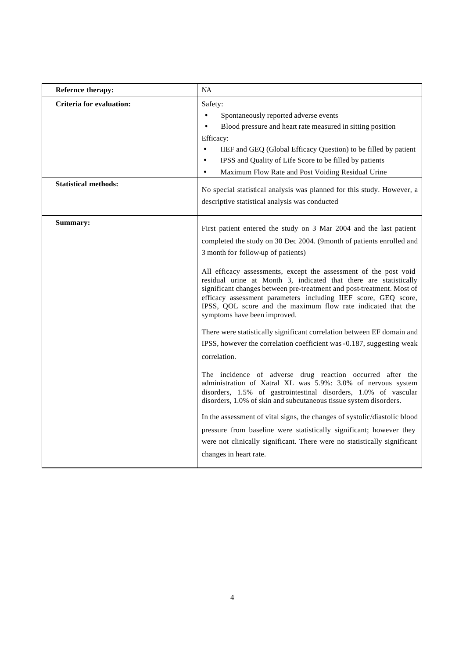| Refernce therapy:                                              | <b>NA</b>                                                                                                                                                                                                                                                                                                                                                                                                                                                                                                                                                                                                                                                                                                                                                                                                                                                                                                                                                                                                                                                                                                                                                                                                                                                               |
|----------------------------------------------------------------|-------------------------------------------------------------------------------------------------------------------------------------------------------------------------------------------------------------------------------------------------------------------------------------------------------------------------------------------------------------------------------------------------------------------------------------------------------------------------------------------------------------------------------------------------------------------------------------------------------------------------------------------------------------------------------------------------------------------------------------------------------------------------------------------------------------------------------------------------------------------------------------------------------------------------------------------------------------------------------------------------------------------------------------------------------------------------------------------------------------------------------------------------------------------------------------------------------------------------------------------------------------------------|
| <b>Criteria for evaluation:</b><br><b>Statistical methods:</b> | Safety:<br>Spontaneously reported adverse events<br>$\bullet$<br>Blood pressure and heart rate measured in sitting position<br>Efficacy:<br>$\bullet$<br>IIEF and GEQ (Global Efficacy Question) to be filled by patient<br>IPSS and Quality of Life Score to be filled by patients<br>$\bullet$<br>Maximum Flow Rate and Post Voiding Residual Urine<br>No special statistical analysis was planned for this study. However, a<br>descriptive statistical analysis was conducted                                                                                                                                                                                                                                                                                                                                                                                                                                                                                                                                                                                                                                                                                                                                                                                       |
| Summary:                                                       | First patient entered the study on 3 Mar 2004 and the last patient<br>completed the study on 30 Dec 2004. (9month of patients enrolled and<br>3 month for follow-up of patients)<br>All efficacy assessments, except the assessment of the post void<br>residual urine at Month 3, indicated that there are statistically<br>significant changes between pre-treatment and post-treatment. Most of<br>efficacy assessment parameters including IIEF score, GEQ score,<br>IPSS, QOL score and the maximum flow rate indicated that the<br>symptoms have been improved.<br>There were statistically significant correlation between EF domain and<br>IPSS, however the correlation coefficient was -0.187, suggesting weak<br>correlation.<br>The incidence of adverse drug reaction occurred after the<br>administration of Xatral XL was 5.9%: 3.0% of nervous system<br>disorders, 1.5% of gastrointestinal disorders, 1.0% of vascular<br>disorders, 1.0% of skin and subcutaneous tissue system disorders.<br>In the assessment of vital signs, the changes of systolic/diastolic blood<br>pressure from baseline were statistically significant; however they<br>were not clinically significant. There were no statistically significant<br>changes in heart rate. |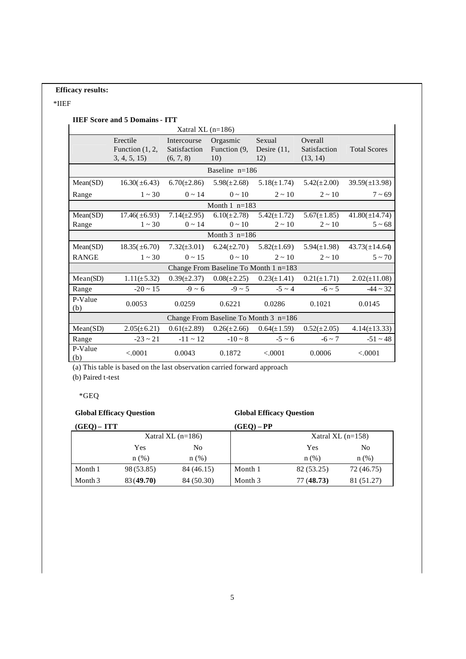## **Efficacy results:**

## \*IIEF

# **IIEF Score and 5 Domains - ITT**

|                                       |                                              | Xatral XL $(n=186)$                      |                                                     |                                                    |                                     |                     |
|---------------------------------------|----------------------------------------------|------------------------------------------|-----------------------------------------------------|----------------------------------------------------|-------------------------------------|---------------------|
|                                       | Erectile<br>Function $(1, 2,$<br>3, 4, 5, 15 | Intercourse<br>Satisfaction<br>(6, 7, 8) | Orgasmic<br>Function (9,<br>10)                     | Sexual<br>Desire $(11,$<br>12)                     | Overall<br>Satisfaction<br>(13, 14) | <b>Total Scores</b> |
|                                       |                                              |                                          | Baseline $n=186$                                    |                                                    |                                     |                     |
| Mean(SD)                              | $16.30(\pm 6.43)$                            |                                          | $6.70(\pm 2.86)$ $5.98(\pm 2.68)$                   | $5.18(\pm 1.74)$                                   | $5.42(\pm 2.00)$                    | $39.59(\pm 13.98)$  |
| Range                                 | $1 \sim 30$                                  | $0 \sim 14$                              | $0 \sim 10$                                         | $2 \sim 10$                                        | $2 \sim 10$                         | $7 - 69$            |
|                                       |                                              |                                          | Month $1$ n=183                                     |                                                    |                                     |                     |
| Mean(SD)                              |                                              |                                          | $17.46(\pm 6.93)$ $7.14(\pm 2.95)$ $6.10(\pm 2.78)$ | $5.42(\pm 1.72)$                                   | $5.67(\pm 1.85)$                    | $41.80(\pm 14.74)$  |
| Range                                 | $1 \sim 30$                                  | $0 \sim 14$                              | $0 \sim 10$                                         | $2 \sim 10$                                        | $2 \sim 10$                         | $5 - 68$            |
|                                       |                                              |                                          | Month $3$ n=186                                     |                                                    |                                     |                     |
| Mean(SD)                              |                                              |                                          | $18.35(\pm 6.70)$ $7.32(\pm 3.01)$ $6.24(\pm 2.70)$ | $5.82(\pm 1.69)$                                   | $5.94(\pm 1.98)$                    | $43.73(\pm 14.64)$  |
| <b>RANGE</b>                          | $1 \sim 30$                                  | $0 \sim 15$                              | $0 \sim 10$                                         | $2 \sim 10$                                        | $2 \sim 10$                         | $5 \sim 70$         |
| Change From Baseline To Month 1 n=183 |                                              |                                          |                                                     |                                                    |                                     |                     |
| Mean(SD)                              | $1.11(\pm 5.32)$                             |                                          |                                                     | $0.39(\pm 2.37)$ $0.08(\pm 2.25)$ $0.23(\pm 1.41)$ | $0.21(\pm 1.71)$                    | $2.02(\pm 11.08)$   |
| Range                                 | $-20 \sim 15$                                | $-9 \sim 6$                              |                                                     | $-9 \sim 5$ $-5 \sim 4$                            | $-6 \sim 5$                         | $-44 \sim 32$       |
| P-Value<br>(b)                        | 0.0053                                       | 0.0259                                   | 0.6221                                              | 0.0286                                             | 0.1021                              | 0.0145              |
|                                       |                                              |                                          |                                                     | Change From Baseline To Month 3 n=186              |                                     |                     |
| Mean(SD)                              | $2.05(\pm 6.21)$                             |                                          |                                                     | $0.61(\pm 2.89)$ $0.26(\pm 2.66)$ $0.64(\pm 1.59)$ | $0.52(\pm 2.05)$                    | $4.14(\pm 13.33)$   |
| Range                                 | $-23 \sim 21$                                |                                          | $-11 \sim 12$ $-10 \sim 8$ $-5 \sim 6$              |                                                    | $-6 \sim 7$                         | $-51 \sim 48$       |
| P-Value<br>(b)                        | < .0001                                      | 0.0043                                   | 0.1872                                              | < 0.0001                                           | 0.0006                              | < .0001             |

(a) This table is based on the last observation carried forward approach

(b) Paired t-test

\*GEQ

# **Global Efficacy Question**

## **Global Efficacy Question**

| $(GEO) - ITT$ |           |                     | $(GEQ) - PP$ |                     |            |
|---------------|-----------|---------------------|--------------|---------------------|------------|
|               |           | Xatral XL $(n=186)$ |              | Xatral XL $(n=158)$ |            |
|               | Yes       | No                  |              | Yes                 | No         |
|               | n(%)      | n(%)                |              | $n$ (%)             | $n(\%)$    |
| Month 1       | 98(53.85) | 84 (46.15)          | Month 1      | 82 (53.25)          | 72 (46.75) |
| Month 3       | 83(49.70) | 84 (50.30)          | Month 3      | 77 (48.73)          | 81 (51.27) |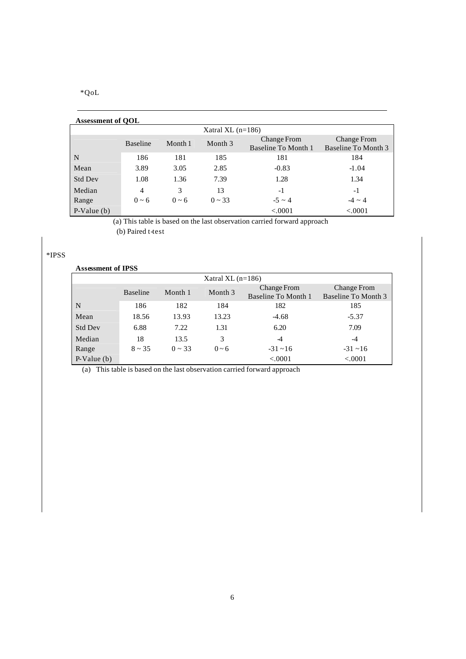\*QoL

| <b>Assessment of QOL</b> |                 |            |                     |                                                  |                                           |
|--------------------------|-----------------|------------|---------------------|--------------------------------------------------|-------------------------------------------|
|                          |                 |            | Xatral XL $(n=186)$ |                                                  |                                           |
|                          | <b>Baseline</b> | Month 1    | Month 3             | <b>Change From</b><br><b>Baseline To Month 1</b> | <b>Change From</b><br>Baseline To Month 3 |
| N                        | 186             | 181        | 185                 | 181                                              | 184                                       |
| Mean                     | 3.89            | 3.05       | 2.85                | $-0.83$                                          | $-1.04$                                   |
| <b>Std Dev</b>           | 1.08            | 1.36       | 7.39                | 1.28                                             | 1.34                                      |
| Median                   | 4               | 3          | 13                  | -1                                               | $-1$                                      |
| Range                    | $0 \sim 6$      | $0 \sim 6$ | $0 \sim 33$         | $-5 \sim 4$                                      | $-4 \sim 4$                               |
| $P-Value(b)$             |                 |            |                     | < .0001                                          | < .0001                                   |

(a) This table is based on the last observation carried forward approach (b) Paired t-test

# \*IPSS

| <b>Assessment of IPSS</b> |                 |             |                     |                                           |                                           |
|---------------------------|-----------------|-------------|---------------------|-------------------------------------------|-------------------------------------------|
|                           |                 |             | Xatral XL $(n=186)$ |                                           |                                           |
|                           | <b>Baseline</b> | Month 1     | Month 3             | <b>Change From</b><br>Baseline To Month 1 | <b>Change From</b><br>Baseline To Month 3 |
| N                         | 186             | 182         | 184                 | 182                                       | 185                                       |
| Mean                      | 18.56           | 13.93       | 13.23               | $-4.68$                                   | $-5.37$                                   |
| <b>Std Dev</b>            | 6.88            | 7.22        | 1.31                | 6.20                                      | 7.09                                      |
| Median                    | 18              | 13.5        | 3                   | -4                                        | -4                                        |
| Range                     | $8 \sim 35$     | $0 \sim 33$ | $0 - 6$             | $-31 - 16$                                | $-31 - 16$                                |
| $P-Value(b)$              |                 |             |                     | < .0001                                   | < .0001                                   |

(a) This table is based on the last observation carried forward approach